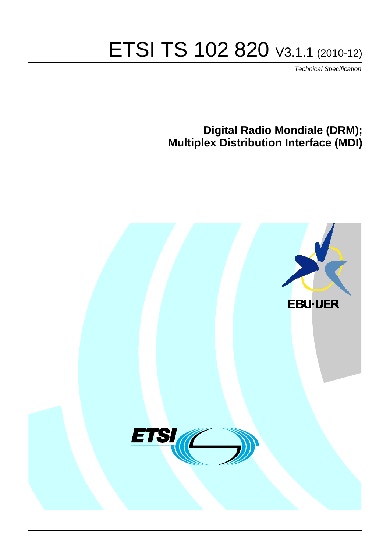# ETSI TS 102 820 V3.1.1 (2010-12)

*Technical Specification*

# **Digital Radio Mondiale (DRM); Multiplex Distribution Interface (MDI)**

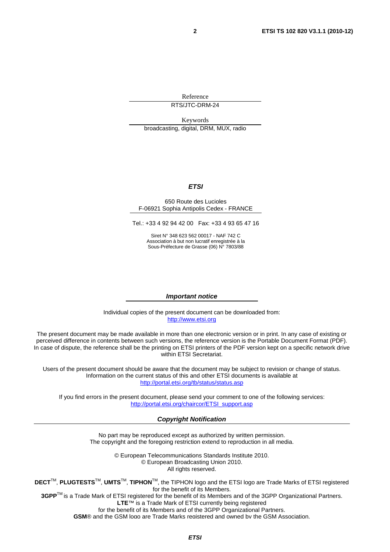Reference RTS/JTC-DRM-24

Keywords broadcasting, digital, DRM, MUX, radio

#### *ETSI*

#### 650 Route des Lucioles F-06921 Sophia Antipolis Cedex - FRANCE

Tel.: +33 4 92 94 42 00 Fax: +33 4 93 65 47 16

Siret N° 348 623 562 00017 - NAF 742 C Association à but non lucratif enregistrée à la Sous-Préfecture de Grasse (06) N° 7803/88

#### *Important notice*

Individual copies of the present document can be downloaded from: [http://www.etsi.org](http://www.etsi.org/)

The present document may be made available in more than one electronic version or in print. In any case of existing or perceived difference in contents between such versions, the reference version is the Portable Document Format (PDF). In case of dispute, the reference shall be the printing on ETSI printers of the PDF version kept on a specific network drive within ETSI Secretariat.

Users of the present document should be aware that the document may be subject to revision or change of status. Information on the current status of this and other ETSI documents is available at <http://portal.etsi.org/tb/status/status.asp>

If you find errors in the present document, please send your comment to one of the following services: [http://portal.etsi.org/chaircor/ETSI\\_support.asp](http://portal.etsi.org/chaircor/ETSI_support.asp)

#### *Copyright Notification*

No part may be reproduced except as authorized by written permission. The copyright and the foregoing restriction extend to reproduction in all media.

> © European Telecommunications Standards Institute 2010. © European Broadcasting Union 2010. All rights reserved.

**DECT**TM, **PLUGTESTS**TM, **UMTS**TM, **TIPHON**TM, the TIPHON logo and the ETSI logo are Trade Marks of ETSI registered for the benefit of its Members. **3GPP**TM is a Trade Mark of ETSI registered for the benefit of its Members and of the 3GPP Organizational Partners.

**LTE**™ is a Trade Mark of ETSI currently being registered

for the benefit of its Members and of the 3GPP Organizational Partners.

**GSM**® and the GSM logo are Trade Marks registered and owned by the GSM Association.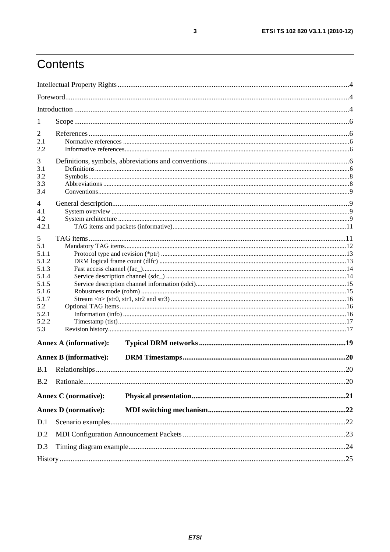# Contents

| 1                                                                                                       |                               |  |  |  |  |
|---------------------------------------------------------------------------------------------------------|-------------------------------|--|--|--|--|
| $\overline{2}$<br>2.1<br>2.2                                                                            |                               |  |  |  |  |
| 3<br>3.1<br>3.2<br>3.3<br>3.4                                                                           |                               |  |  |  |  |
| 4<br>4.1<br>4.2<br>4.2.1                                                                                |                               |  |  |  |  |
| 5<br>5.1<br>5.1.1<br>5.1.2<br>5.1.3<br>5.1.4<br>5.1.5<br>5.1.6<br>5.1.7<br>5.2<br>5.2.1<br>5.2.2<br>5.3 |                               |  |  |  |  |
|                                                                                                         | <b>Annex A (informative):</b> |  |  |  |  |
|                                                                                                         | <b>Annex B (informative):</b> |  |  |  |  |
|                                                                                                         |                               |  |  |  |  |
| B.2                                                                                                     |                               |  |  |  |  |
|                                                                                                         | <b>Annex C</b> (normative):   |  |  |  |  |
|                                                                                                         | <b>Annex D</b> (normative):   |  |  |  |  |
| D.1                                                                                                     |                               |  |  |  |  |
| D.2                                                                                                     |                               |  |  |  |  |
| D.3                                                                                                     |                               |  |  |  |  |
|                                                                                                         |                               |  |  |  |  |

 $\mathbf{3}$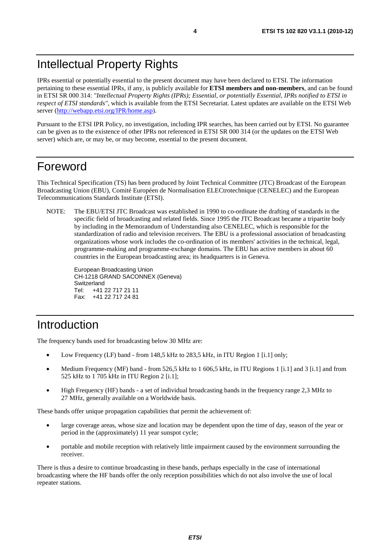IPRs essential or potentially essential to the present document may have been declared to ETSI. The information pertaining to these essential IPRs, if any, is publicly available for **ETSI members and non-members**, and can be found in ETSI SR 000 314: *"Intellectual Property Rights (IPRs); Essential, or potentially Essential, IPRs notified to ETSI in respect of ETSI standards"*, which is available from the ETSI Secretariat. Latest updates are available on the ETSI Web server ([http://webapp.etsi.org/IPR/home.asp\)](http://webapp.etsi.org/IPR/home.asp).

Pursuant to the ETSI IPR Policy, no investigation, including IPR searches, has been carried out by ETSI. No guarantee can be given as to the existence of other IPRs not referenced in ETSI SR 000 314 (or the updates on the ETSI Web server) which are, or may be, or may become, essential to the present document.

### Foreword

This Technical Specification (TS) has been produced by Joint Technical Committee (JTC) Broadcast of the European Broadcasting Union (EBU), Comité Européen de Normalisation ELECtrotechnique (CENELEC) and the European Telecommunications Standards Institute (ETSI).

NOTE: The EBU/ETSI JTC Broadcast was established in 1990 to co-ordinate the drafting of standards in the specific field of broadcasting and related fields. Since 1995 the JTC Broadcast became a tripartite body by including in the Memorandum of Understanding also CENELEC, which is responsible for the standardization of radio and television receivers. The EBU is a professional association of broadcasting organizations whose work includes the co-ordination of its members' activities in the technical, legal, programme-making and programme-exchange domains. The EBU has active members in about 60 countries in the European broadcasting area; its headquarters is in Geneva.

European Broadcasting Union CH-1218 GRAND SACONNEX (Geneva) Switzerland Tel: +41 22 717 21 11 Fax: +41 22 717 24 81

# Introduction

The frequency bands used for broadcasting below 30 MHz are:

- Low Frequency (LF) band from 148,5 kHz to 283,5 kHz, in ITU Region 1 [i.1] only;
- Medium Frequency (MF) band from 526,5 kHz to 1 606,5 kHz, in ITU Regions 1 [i.1] and 3 [i.1] and from 525 kHz to 1 705 kHz in ITU Region 2 [i.1];
- High Frequency (HF) bands a set of individual broadcasting bands in the frequency range 2,3 MHz to 27 MHz, generally available on a Worldwide basis.

These bands offer unique propagation capabilities that permit the achievement of:

- large coverage areas, whose size and location may be dependent upon the time of day, season of the year or period in the (approximately) 11 year sunspot cycle;
- portable and mobile reception with relatively little impairment caused by the environment surrounding the receiver.

There is thus a desire to continue broadcasting in these bands, perhaps especially in the case of international broadcasting where the HF bands offer the only reception possibilities which do not also involve the use of local repeater stations.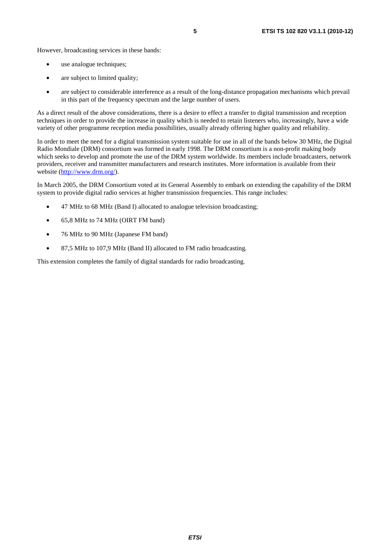However, broadcasting services in these bands:

- use analogue techniques;
- are subject to limited quality;
- are subject to considerable interference as a result of the long-distance propagation mechanisms which prevail in this part of the frequency spectrum and the large number of users.

As a direct result of the above considerations, there is a desire to effect a transfer to digital transmission and reception techniques in order to provide the increase in quality which is needed to retain listeners who, increasingly, have a wide variety of other programme reception media possibilities, usually already offering higher quality and reliability.

In order to meet the need for a digital transmission system suitable for use in all of the bands below 30 MHz, the Digital Radio Mondiale (DRM) consortium was formed in early 1998. The DRM consortium is a non-profit making body which seeks to develop and promote the use of the DRM system worldwide. Its members include broadcasters, network providers, receiver and transmitter manufacturers and research institutes. More information is available from their website ([http://www.drm.org/\)](http://www.drm.org/).

In March 2005, the DRM Consortium voted at its General Assembly to embark on extending the capability of the DRM system to provide digital radio services at higher transmission frequencies. This range includes:

- 47 MHz to 68 MHz (Band I) allocated to analogue television broadcasting;
- 65,8 MHz to 74 MHz (OIRT FM band)
- 76 MHz to 90 MHz (Japanese FM band)
- 87.5 MHz to 107.9 MHz (Band II) allocated to FM radio broadcasting.

This extension completes the family of digital standards for radio broadcasting.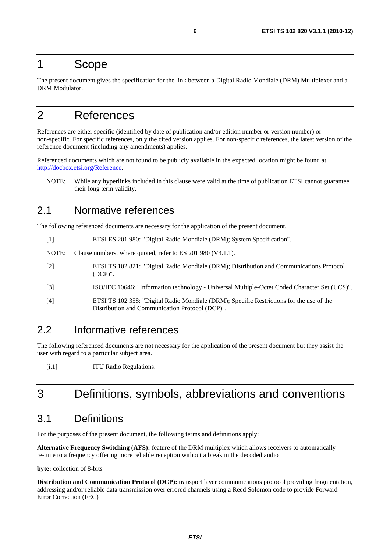### 1 Scope

The present document gives the specification for the link between a Digital Radio Mondiale (DRM) Multiplexer and a DRM Modulator.

### 2 References

References are either specific (identified by date of publication and/or edition number or version number) or non-specific. For specific references, only the cited version applies. For non-specific references, the latest version of the reference document (including any amendments) applies.

Referenced documents which are not found to be publicly available in the expected location might be found at [http://docbox.etsi.org/Reference.](http://docbox.etsi.org/Reference)

NOTE: While any hyperlinks included in this clause were valid at the time of publication ETSI cannot guarantee their long term validity.

### 2.1 Normative references

The following referenced documents are necessary for the application of the present document.

[1] ETSI ES 201 980: "Digital Radio Mondiale (DRM); System Specification".

NOTE: Clause numbers, where quoted, refer to ES 201 980 (V3.1.1).

- [2] ETSI TS 102 821: "Digital Radio Mondiale (DRM); Distribution and Communications Protocol (DCP)".
- [3] ISO/IEC 10646: "Information technology Universal Multiple-Octet Coded Character Set (UCS)".
- [4] ETSI TS 102 358: "Digital Radio Mondiale (DRM); Specific Restrictions for the use of the Distribution and Communication Protocol (DCP)".

### 2.2 Informative references

The following referenced documents are not necessary for the application of the present document but they assist the user with regard to a particular subject area.

[i.1] ITU Radio Regulations.

# 3 Definitions, symbols, abbreviations and conventions

### 3.1 Definitions

For the purposes of the present document, the following terms and definitions apply:

**Alternative Frequency Switching (AFS):** feature of the DRM multiplex which allows receivers to automatically re-tune to a frequency offering more reliable reception without a break in the decoded audio

**byte:** collection of 8-bits

**Distribution and Communication Protocol (DCP):** transport layer communications protocol providing fragmentation, addressing and/or reliable data transmission over errored channels using a Reed Solomon code to provide Forward Error Correction (FEC)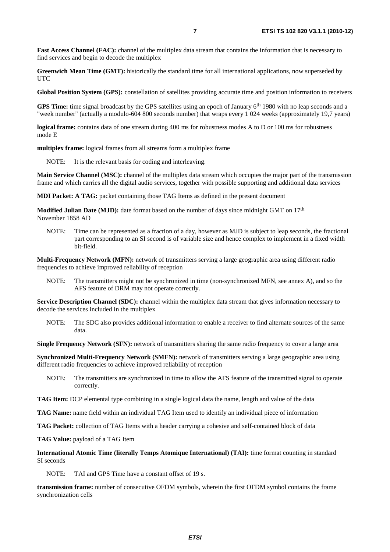**Fast Access Channel (FAC):** channel of the multiplex data stream that contains the information that is necessary to find services and begin to decode the multiplex

**Greenwich Mean Time (GMT):** historically the standard time for all international applications, now superseded by UTC

**Global Position System (GPS):** constellation of satellites providing accurate time and position information to receivers

**GPS Time:** time signal broadcast by the GPS satellites using an epoch of January 6<sup>th</sup> 1980 with no leap seconds and a "week number" (actually a modulo-604 800 seconds number) that wraps every 1 024 weeks (approximately 19,7 years)

**logical frame:** contains data of one stream during 400 ms for robustness modes A to D or 100 ms for robustness mode E

**multiplex frame:** logical frames from all streams form a multiplex frame

NOTE: It is the relevant basis for coding and interleaving.

**Main Service Channel (MSC):** channel of the multiplex data stream which occupies the major part of the transmission frame and which carries all the digital audio services, together with possible supporting and additional data services

**MDI Packet: A TAG:** packet containing those TAG Items as defined in the present document

**Modified Julian Date (MJD):** date format based on the number of days since midnight GMT on 17<sup>th</sup> November 1858 AD

NOTE: Time can be represented as a fraction of a day, however as MJD is subject to leap seconds, the fractional part corresponding to an SI second is of variable size and hence complex to implement in a fixed width bit-field.

**Multi-Frequency Network (MFN):** network of transmitters serving a large geographic area using different radio frequencies to achieve improved reliability of reception

NOTE: The transmitters might not be synchronized in time (non-synchronized MFN, see annex A), and so the AFS feature of DRM may not operate correctly.

**Service Description Channel (SDC):** channel within the multiplex data stream that gives information necessary to decode the services included in the multiplex

NOTE: The SDC also provides additional information to enable a receiver to find alternate sources of the same data.

**Single Frequency Network (SFN):** network of transmitters sharing the same radio frequency to cover a large area

**Synchronized Multi-Frequency Network (SMFN):** network of transmitters serving a large geographic area using different radio frequencies to achieve improved reliability of reception

- NOTE: The transmitters are synchronized in time to allow the AFS feature of the transmitted signal to operate correctly.
- **TAG Item:** DCP elemental type combining in a single logical data the name, length and value of the data

**TAG Name:** name field within an individual TAG Item used to identify an individual piece of information

**TAG Packet:** collection of TAG Items with a header carrying a cohesive and self-contained block of data

**TAG Value:** payload of a TAG Item

**International Atomic Time (literally Temps Atomique International) (TAI):** time format counting in standard SI seconds

NOTE: TAI and GPS Time have a constant offset of 19 s.

**transmission frame:** number of consecutive OFDM symbols, wherein the first OFDM symbol contains the frame synchronization cells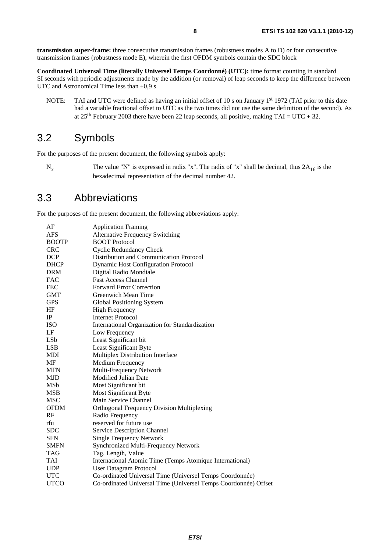**transmission super-frame:** three consecutive transmission frames (robustness modes A to D) or four consecutive transmission frames (robustness mode E), wherein the first OFDM symbols contain the SDC block

**Coordinated Universal Time (literally Universel Temps Coordonné) (UTC):** time format counting in standard SI seconds with periodic adjustments made by the addition (or removal) of leap seconds to keep the difference between UTC and Astronomical Time less than  $\pm 0.9$  s

NOTE: TAI and UTC were defined as having an initial offset of 10 s on January 1<sup>st</sup> 1972 (TAI prior to this date had a variable fractional offset to UTC as the two times did not use the same definition of the second). As at  $25<sup>th</sup>$  February 2003 there have been 22 leap seconds, all positive, making TAI = UTC + 32.

### 3.2 Symbols

For the purposes of the present document, the following symbols apply:

 $N_x$  The value "N" is expressed in radix "x". The radix of "x" shall be decimal, thus  $2A_{16}$  is the hexadecimal representation of the decimal number 42.

### 3.3 Abbreviations

For the purposes of the present document, the following abbreviations apply:

| AF           | <b>Application Framing</b>                                      |
|--------------|-----------------------------------------------------------------|
| <b>AFS</b>   | <b>Alternative Frequency Switching</b>                          |
| <b>BOOTP</b> | <b>BOOT Protocol</b>                                            |
| <b>CRC</b>   | <b>Cyclic Redundancy Check</b>                                  |
| <b>DCP</b>   | Distribution and Communication Protocol                         |
| <b>DHCP</b>  | <b>Dynamic Host Configuration Protocol</b>                      |
| <b>DRM</b>   | Digital Radio Mondiale                                          |
| <b>FAC</b>   | <b>Fast Access Channel</b>                                      |
| <b>FEC</b>   | <b>Forward Error Correction</b>                                 |
| <b>GMT</b>   | Greenwich Mean Time                                             |
| <b>GPS</b>   | Global Positioning System                                       |
| HF           | <b>High Frequency</b>                                           |
| IP           | <b>Internet Protocol</b>                                        |
| <b>ISO</b>   | International Organization for Standardization                  |
| LF           | Low Frequency                                                   |
| LSb          | Least Significant bit                                           |
| <b>LSB</b>   | Least Significant Byte                                          |
| <b>MDI</b>   | Multiplex Distribution Interface                                |
| MF           | Medium Frequency                                                |
| <b>MFN</b>   | Multi-Frequency Network                                         |
| MJD          | <b>Modified Julian Date</b>                                     |
| <b>MSb</b>   | Most Significant bit                                            |
| <b>MSB</b>   | Most Significant Byte                                           |
| <b>MSC</b>   | Main Service Channel                                            |
| <b>OFDM</b>  | <b>Orthogonal Frequency Division Multiplexing</b>               |
| RF           | Radio Frequency                                                 |
| rfu          | reserved for future use                                         |
| <b>SDC</b>   | Service Description Channel                                     |
| <b>SFN</b>   | <b>Single Frequency Network</b>                                 |
| <b>SMFN</b>  | Synchronized Multi-Frequency Network                            |
| <b>TAG</b>   | Tag, Length, Value                                              |
| <b>TAI</b>   | International Atomic Time (Temps Atomique International)        |
| <b>UDP</b>   | <b>User Datagram Protocol</b>                                   |
| <b>UTC</b>   | Co-ordinated Universal Time (Universel Temps Coordonnée)        |
| <b>UTCO</b>  | Co-ordinated Universal Time (Universel Temps Coordonnée) Offset |
|              |                                                                 |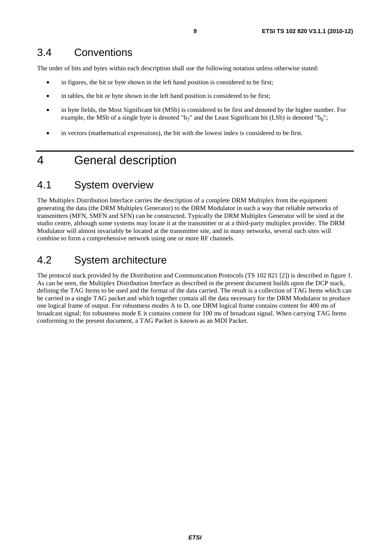### 3.4 Conventions

The order of bits and bytes within each description shall use the following notation unless otherwise stated:

- in figures, the bit or byte shown in the left hand position is considered to be first;
- in tables, the bit or byte shown in the left hand position is considered to be first;
- in byte fields, the Most Significant bit (MSb) is considered to be first and denoted by the higher number. For example, the MSb of a single byte is denoted "b<sub>7</sub>" and the Least Significant bit (LSb) is denoted "b<sub>0</sub>";
- in vectors (mathematical expressions), the bit with the lowest index is considered to be first.

### 4 General description

### 4.1 System overview

The Multiplex Distribution Interface carries the description of a complete DRM Multiplex from the equipment generating the data (the DRM Multiplex Generator) to the DRM Modulator in such a way that reliable networks of transmitters (MFN, SMFN and SFN) can be constructed. Typically the DRM Multiplex Generator will be sited at the studio centre, although some systems may locate it at the transmitter or at a third-party multiplex provider. The DRM Modulator will almost invariably be located at the transmitter site, and in many networks, several such sites will combine to form a comprehensive network using one or more RF channels.

### 4.2 System architecture

The protocol stack provided by the Distribution and Communication Protocols (TS 102 821 [2]) is described in figure 1. As can be seen, the Multiplex Distribution Interface as described in the present document builds upon the DCP stack, defining the TAG Items to be used and the format of the data carried. The result is a collection of TAG Items which can be carried in a single TAG packet and which together contain all the data necessary for the DRM Modulator to produce one logical frame of output. For robustness modes A to D, one DRM logical frame contains content for 400 ms of broadcast signal; for robustness mode E it contains content for 100 ms of broadcast signal. When carrying TAG Items conforming to the present document, a TAG Packet is known as an MDI Packet.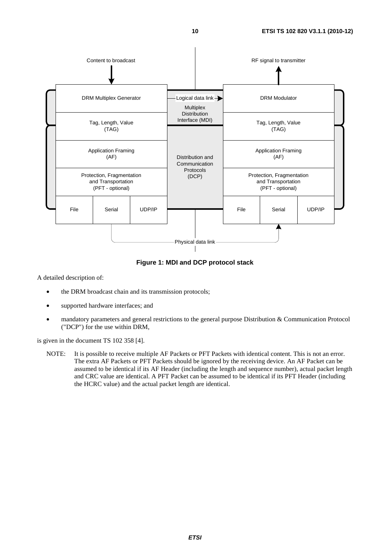

**Figure 1: MDI and DCP protocol stack** 

A detailed description of:

- the DRM broadcast chain and its transmission protocols;
- supported hardware interfaces; and
- mandatory parameters and general restrictions to the general purpose Distribution & Communication Protocol ("DCP") for the use within DRM,

is given in the document TS 102 358 [4].

NOTE: It is possible to receive multiple AF Packets or PFT Packets with identical content. This is not an error. The extra AF Packets or PFT Packets should be ignored by the receiving device. An AF Packet can be assumed to be identical if its AF Header (including the length and sequence number), actual packet length and CRC value are identical. A PFT Packet can be assumed to be identical if its PFT Header (including the HCRC value) and the actual packet length are identical.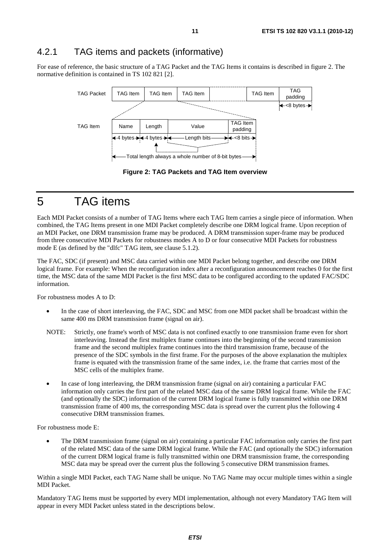#### 4.2.1 TAG items and packets (informative)

For ease of reference, the basic structure of a TAG Packet and the TAG Items it contains is described in figure 2. The normative definition is contained in TS 102 821 [2].



**Figure 2: TAG Packets and TAG Item overview** 

# 5 TAG items

Each MDI Packet consists of a number of TAG Items where each TAG Item carries a single piece of information. When combined, the TAG Items present in one MDI Packet completely describe one DRM logical frame. Upon reception of an MDI Packet, one DRM transmission frame may be produced. A DRM transmission super-frame may be produced from three consecutive MDI Packets for robustness modes A to D or four consecutive MDI Packets for robustness mode E (as defined by the "dlfc" TAG item, see clause 5.1.2).

The FAC, SDC (if present) and MSC data carried within one MDI Packet belong together, and describe one DRM logical frame. For example: When the reconfiguration index after a reconfiguration announcement reaches 0 for the first time, the MSC data of the same MDI Packet is the first MSC data to be configured according to the updated FAC/SDC information.

For robustness modes A to D:

- In the case of short interleaving, the FAC, SDC and MSC from one MDI packet shall be broadcast within the same 400 ms DRM transmission frame (signal on air).
- NOTE: Strictly, one frame's worth of MSC data is not confined exactly to one transmission frame even for short interleaving. Instead the first multiplex frame continues into the beginning of the second transmission frame and the second multiplex frame continues into the third transmission frame, because of the presence of the SDC symbols in the first frame. For the purposes of the above explanation the multiplex frame is equated with the transmission frame of the same index, i.e. the frame that carries most of the MSC cells of the multiplex frame.
- In case of long interleaving, the DRM transmission frame (signal on air) containing a particular FAC information only carries the first part of the related MSC data of the same DRM logical frame. While the FAC (and optionally the SDC) information of the current DRM logical frame is fully transmitted within one DRM transmission frame of 400 ms, the corresponding MSC data is spread over the current plus the following 4 consecutive DRM transmission frames.

For robustness mode E:

• The DRM transmission frame (signal on air) containing a particular FAC information only carries the first part of the related MSC data of the same DRM logical frame. While the FAC (and optionally the SDC) information of the current DRM logical frame is fully transmitted within one DRM transmission frame, the corresponding MSC data may be spread over the current plus the following 5 consecutive DRM transmission frames.

Within a single MDI Packet, each TAG Name shall be unique. No TAG Name may occur multiple times within a single MDI Packet.

Mandatory TAG Items must be supported by every MDI implementation, although not every Mandatory TAG Item will appear in every MDI Packet unless stated in the descriptions below.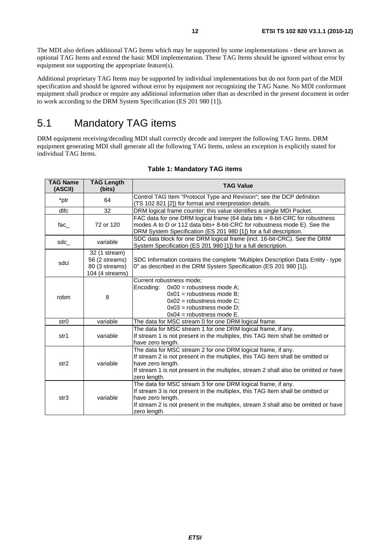The MDI also defines additional TAG Items which may be supported by some implementations - these are known as optional TAG Items and extend the basic MDI implementation. These TAG Items should be ignored without error by equipment not supporting the appropriate feature(s).

Additional proprietary TAG Items may be supported by individual implementations but do not form part of the MDI specification and should be ignored without error by equipment not recognizing the TAG Name. No MDI conformant equipment shall produce or require any additional information other than as described in the present document in order to work according to the DRM System Specification (ES 201 980 [1]).

### 5.1 Mandatory TAG items

DRM equipment receiving/decoding MDI shall correctly decode and interpret the following TAG Items. DRM equipment generating MDI shall generate all the following TAG Items, unless an exception is explicitly stated for individual TAG Items.

| <b>TAG Name</b><br>(ASCII) | <b>TAG Length</b><br>(bits)                                          | <b>TAG Value</b>                                                                                                                                                                                                                                                           |
|----------------------------|----------------------------------------------------------------------|----------------------------------------------------------------------------------------------------------------------------------------------------------------------------------------------------------------------------------------------------------------------------|
| *ptr                       | 64                                                                   | Control TAG Item "Protocol Type and Revision"; see the DCP definition<br>(TS 102 821 [2]) for format and interpretation details.                                                                                                                                           |
| dlfc                       | 32                                                                   | DRM logical frame counter: this value identifies a single MDI Packet.                                                                                                                                                                                                      |
| fac $_{-}$                 | 72 or 120                                                            | FAC data for one DRM logical frame (64 data bits + 8-bit-CRC for robustness<br>modes A to D or 112 data bits+ 8-bit-CRC for robustness mode E). See the<br>DRM System Specification (ES 201 980 [1]) for a full description.                                               |
| sdc                        | variable                                                             | SDC data block for one DRM logical frame (incl. 16-bit-CRC). See the DRM<br>System Specification (ES 201 980 [1]) for a full description.                                                                                                                                  |
| sdci                       | 32 (1 stream)<br>56 (2 streams)<br>80 (3 streams)<br>104 (4 streams) | SDC Information contains the complete "Multiplex Description Data Entity - type<br>0" as described in the DRM System Specification (ES 201 980 [1]).                                                                                                                       |
| robm                       | 8                                                                    | Current robustness mode;<br>Encoding:<br>$0x00 =$ robustness mode A;<br>$0x01$ = robustness mode B;<br>$0x02$ = robustness mode C;<br>$0x03$ = robustness mode D;<br>$0x04$ = robustness mode E.                                                                           |
| str <sub>0</sub>           | variable                                                             | The data for MSC stream 0 for one DRM logical frame.                                                                                                                                                                                                                       |
| str1                       | variable                                                             | The data for MSC stream 1 for one DRM logical frame, if any.<br>If stream 1 is not present in the multiplex, this TAG Item shall be omitted or<br>have zero length.                                                                                                        |
| str <sub>2</sub>           | variable                                                             | The data for MSC stream 2 for one DRM logical frame, if any.<br>If stream 2 is not present in the multiplex, this TAG Item shall be omitted or<br>have zero length.<br>If stream 1 is not present in the multiplex, stream 2 shall also be omitted or have<br>zero length. |
| str3                       | variable                                                             | The data for MSC stream 3 for one DRM logical frame, if any.<br>If stream 3 is not present in the multiplex, this TAG Item shall be omitted or<br>have zero length.<br>If stream 2 is not present in the multiplex, stream 3 shall also be omitted or have<br>zero length. |

#### **Table 1: Mandatory TAG items**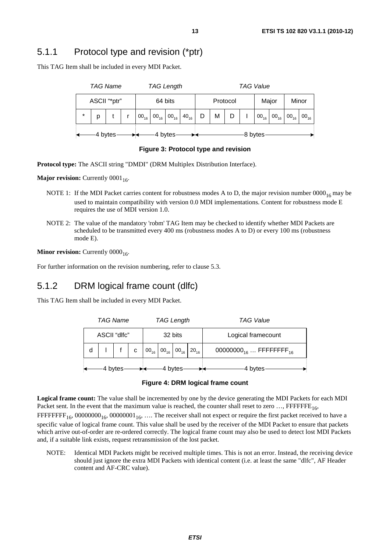#### 5.1.1 Protocol type and revision (\*ptr)

This TAG Item shall be included in every MDI Packet.

| <b>TAG Name</b> |   |  |  | <b>TAG Length</b> |                                                              | <b>TAG Value</b> |   |                |  |           |  |                                             |  |
|-----------------|---|--|--|-------------------|--------------------------------------------------------------|------------------|---|----------------|--|-----------|--|---------------------------------------------|--|
| ASCII "*ptr"    |   |  |  | 64 bits           | Protocol                                                     |                  |   | Major<br>Minor |  |           |  |                                             |  |
| $\star$         | D |  |  |                   | $00_{16}$ 00 <sub>16</sub> 00 <sub>16</sub> 40 <sub>16</sub> | D                | M |                |  | $00_{16}$ |  | $00_{16}$ 00 <sub>16</sub> 00 <sub>16</sub> |  |
| 4 bytes         |   |  |  |                   | 4 bytes                                                      |                  |   |                |  | 8 bytes   |  |                                             |  |

**Figure 3: Protocol type and revision** 

**Protocol type:** The ASCII string "DMDI" (DRM Multiplex Distribution Interface).

**Major revision:** Currently 0001<sub>16</sub>.

- NOTE 1: If the MDI Packet carries content for robustness modes A to D, the major revision number  $0000_{16}$  may be used to maintain compatibility with version 0.0 MDI implementations. Content for robustness mode E requires the use of MDI version 1.0.
- NOTE 2: The value of the mandatory 'robm' TAG Item may be checked to identify whether MDI Packets are scheduled to be transmitted every 400 ms (robustness modes A to D) or every 100 ms (robustness mode E).

**Minor revision:** Currently  $0000_{16}$ .

For further information on the revision numbering, refer to clause 5.3.

#### 5.1.2 DRM logical frame count (dlfc)

This TAG Item shall be included in every MDI Packet.



#### **Figure 4: DRM logical frame count**

**Logical frame count:** The value shall be incremented by one by the device generating the MDI Packets for each MDI Packet sent. In the event that the maximum value is reached, the counter shall reset to zero  $\ldots$ , FFFFFFE<sub>16</sub>, FFFFFFFF<sub>16</sub>, 00000000<sub>16</sub>, 00000001<sub>16</sub>, .... The receiver shall not expect or require the first packet received to have a specific value of logical frame count. This value shall be used by the receiver of the MDI Packet to ensure that packets which arrive out-of-order are re-ordered correctly. The logical frame count may also be used to detect lost MDI Packets and, if a suitable link exists, request retransmission of the lost packet.

NOTE: Identical MDI Packets might be received multiple times. This is not an error. Instead, the receiving device should just ignore the extra MDI Packets with identical content (i.e. at least the same "dlfc", AF Header content and AF-CRC value).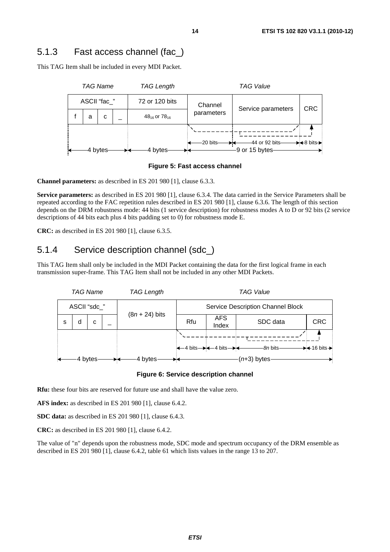### 5.1.3 Fast access channel (fac\_)

This TAG Item shall be included in every MDI Packet.





**Channel parameters:** as described in ES 201 980 [1], clause 6.3.3.

**Service parameters:** as described in ES 201 980 [1], clause 6.3.4. The data carried in the Service Parameters shall be repeated according to the FAC repetition rules described in ES 201 980 [1], clause 6.3.6. The length of this section depends on the DRM robustness mode: 44 bits (1 service description) for robustness modes A to D or 92 bits (2 service descriptions of 44 bits each plus 4 bits padding set to 0) for robustness mode E.

**CRC:** as described in ES 201 980 [1], clause 6.3.5.

#### 5.1.4 Service description channel (sdc\_)

This TAG Item shall only be included in the MDI Packet containing the data for the first logical frame in each transmission super-frame. This TAG Item shall not be included in any other MDI Packets.



**Figure 6: Service description channel** 

**Rfu:** these four bits are reserved for future use and shall have the value zero.

**AFS index:** as described in ES 201 980 [1], clause 6.4.2.

**SDC data:** as described in ES 201 980 [1], clause 6.4.3.

**CRC:** as described in ES 201 980 [1], clause 6.4.2.

The value of "n" depends upon the robustness mode, SDC mode and spectrum occupancy of the DRM ensemble as described in ES 201 980 [1], clause 6.4.2, table 61 which lists values in the range 13 to 207.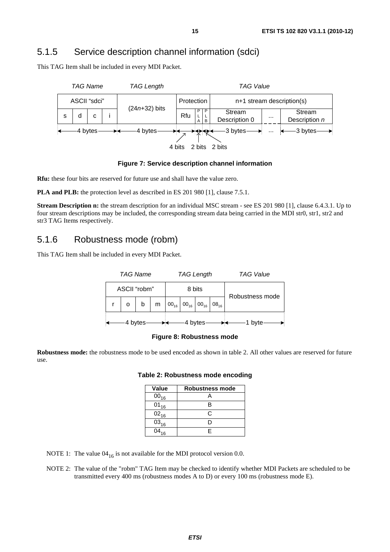#### 5.1.5 Service description channel information (sdci)

This TAG Item shall be included in every MDI Packet.



**Figure 7: Service description channel information** 

**Rfu:** these four bits are reserved for future use and shall have the value zero.

**PLA and PLB:** the protection level as described in ES 201 980 [1], clause 7.5.1.

**Stream Description n:** the stream description for an individual MSC stream - see ES 201 980 [1], clause 6.4.3.1. Up to four stream descriptions may be included, the corresponding stream data being carried in the MDI str0, str1, str2 and str3 TAG Items respectively.

#### 5.1.6 Robustness mode (robm)

This TAG Item shall be included in every MDI Packet.



#### **Figure 8: Robustness mode**

**Robustness mode:** the robustness mode to be used encoded as shown in table 2. All other values are reserved for future use.

| <b>Value</b> | <b>Robustness mode</b> |
|--------------|------------------------|
| $00_{16}$    |                        |
| $01_{16}$    | R                      |
| $02_{16}$    | Ր։                     |
| $03_{16}$    |                        |
|              | F                      |

#### **Table 2: Robustness mode encoding**

NOTE 1: The value  $04_{16}$  is not available for the MDI protocol version 0.0.

NOTE 2: The value of the "robm" TAG Item may be checked to identify whether MDI Packets are scheduled to be transmitted every 400 ms (robustness modes A to D) or every 100 ms (robustness mode E).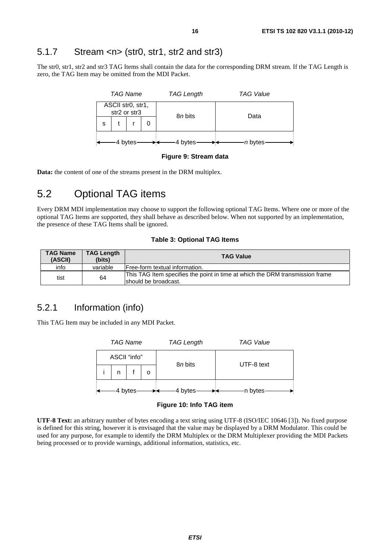#### 5.1.7 Stream <n> (str0, str1, str2 and str3)

The str0, str1, str2 and str3 TAG Items shall contain the data for the corresponding DRM stream. If the TAG Length is zero, the TAG Item may be omitted from the MDI Packet.



**Figure 9: Stream data** 

**Data:** the content of one of the streams present in the DRM multiplex.

### 5.2 Optional TAG items

Every DRM MDI implementation may choose to support the following optional TAG Items. Where one or more of the optional TAG Items are supported, they shall behave as described below. When not supported by an implementation, the presence of these TAG Items shall be ignored.

#### **Table 3: Optional TAG Items**

| <b>TAG Name</b><br>(ASCII) | <b>TAG Length</b><br>(bits) | <b>TAG Value</b>                                                                                      |
|----------------------------|-----------------------------|-------------------------------------------------------------------------------------------------------|
| info                       | variable                    | Free-form textual information.                                                                        |
| tist                       | 64                          | This TAG Item specifies the point in time at which the DRM transmission frame<br>should be broadcast. |

#### 5.2.1 Information (info)

This TAG Item may be included in any MDI Packet.



**Figure 10: Info TAG item** 

**UTF-8 Text:** an arbitrary number of bytes encoding a text string using UTF-8 (ISO/IEC 10646 [3]). No fixed purpose is defined for this string, however it is envisaged that the value may be displayed by a DRM Modulator. This could be used for any purpose, for example to identify the DRM Multiplex or the DRM Multiplexer providing the MDI Packets being processed or to provide warnings, additional information, statistics, etc.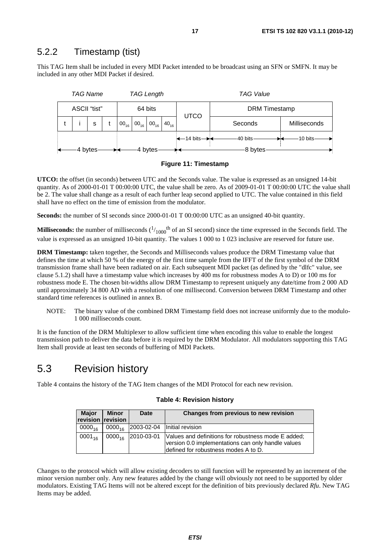#### 5.2.2 Timestamp (tist)

This TAG Item shall be included in every MDI Packet intended to be broadcast using an SFN or SMFN. It may be included in any other MDI Packet if desired.





**UTCO:** the offset (in seconds) between UTC and the Seconds value. The value is expressed as an unsigned 14-bit quantity. As of 2000-01-01 T 00:00:00 UTC, the value shall be zero. As of 2009-01-01 T 00:00:00 UTC the value shall be 2. The value shall change as a result of each further leap second applied to UTC. The value contained in this field shall have no effect on the time of emission from the modulator.

**Seconds:** the number of SI seconds since 2000-01-01 T 00:00:00 UTC as an unsigned 40-bit quantity.

**Milliseconds:** the number of milliseconds  $(1/1000$ <sup>th</sup> of an SI second) since the time expressed in the Seconds field. The value is expressed as an unsigned 10-bit quantity. The values 1 000 to 1 023 inclusive are reserved for future use.

**DRM Timestamp:** taken together, the Seconds and Milliseconds values produce the DRM Timestamp value that defines the time at which 50 % of the energy of the first time sample from the IFFT of the first symbol of the DRM transmission frame shall have been radiated on air. Each subsequent MDI packet (as defined by the "dlfc" value, see clause 5.1.2) shall have a timestamp value which increases by 400 ms for robustness modes A to D) or 100 ms for robustness mode E. The chosen bit-widths allow DRM Timestamp to represent uniquely any date/time from 2 000 AD until approximately 34 800 AD with a resolution of one millisecond. Conversion between DRM Timestamp and other standard time references is outlined in annex B.

NOTE: The binary value of the combined DRM Timestamp field does not increase uniformly due to the modulo-1 000 milliseconds count.

It is the function of the DRM Multiplexer to allow sufficient time when encoding this value to enable the longest transmission path to deliver the data before it is required by the DRM Modulator. All modulators supporting this TAG Item shall provide at least ten seconds of buffering of MDI Packets.

#### 5.3 Revision history

Table 4 contains the history of the TAG Item changes of the MDI Protocol for each new revision.

| <b>Major</b>             | <b>Minor</b> | Date                   | Changes from previous to new revision                                                                                                             |
|--------------------------|--------------|------------------------|---------------------------------------------------------------------------------------------------------------------------------------------------|
| <b>revision revision</b> |              |                        |                                                                                                                                                   |
| $0000_{16}$              |              |                        | $0000_{16}$ 2003-02-04 Initial revision                                                                                                           |
| $0001_{16}$              |              | $0000_{16}$ 2010-03-01 | Values and definitions for robustness mode E added;<br>version 0.0 implementations can only handle values<br>defined for robustness modes A to D. |

#### **Table 4: Revision history**

Changes to the protocol which will allow existing decoders to still function will be represented by an increment of the minor version number only. Any new features added by the change will obviously not need to be supported by older modulators. Existing TAG Items will not be altered except for the definition of bits previously declared *Rfu*. New TAG Items may be added.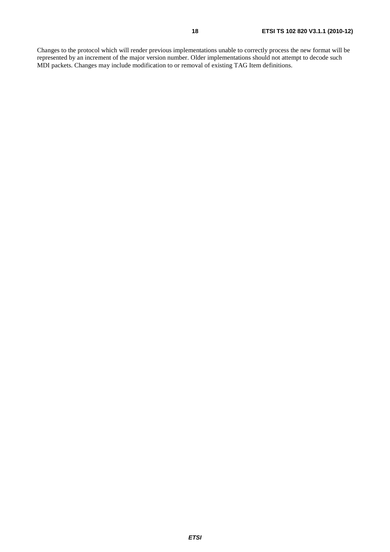Changes to the protocol which will render previous implementations unable to correctly process the new format will be represented by an increment of the major version number. Older implementations should not attempt to decode such MDI packets. Changes may include modification to or removal of existing TAG Item definitions.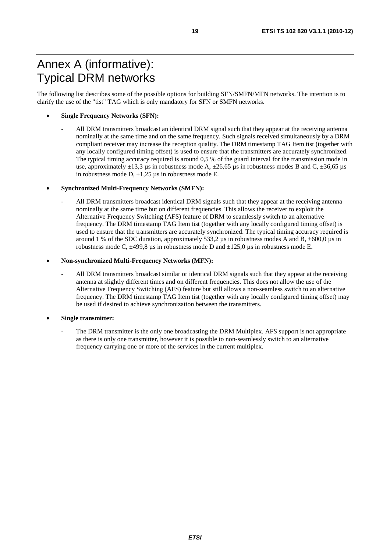# Annex A (informative): Typical DRM networks

The following list describes some of the possible options for building SFN/SMFN/MFN networks. The intention is to clarify the use of the "tist" TAG which is only mandatory for SFN or SMFN networks.

- **Single Frequency Networks (SFN):**
	- All DRM transmitters broadcast an identical DRM signal such that they appear at the receiving antenna nominally at the same time and on the same frequency. Such signals received simultaneously by a DRM compliant receiver may increase the reception quality. The DRM timestamp TAG Item tist (together with any locally configured timing offset) is used to ensure that the transmitters are accurately synchronized. The typical timing accuracy required is around 0,5 % of the guard interval for the transmission mode in use, approximately  $\pm 13.3$  µs in robustness mode A,  $\pm 26.65$  µs in robustness modes B and C,  $\pm 36.65$  µs in robustness mode D,  $\pm 1,25$  µs in robustness mode E.
- **Synchronized Multi-Frequency Networks (SMFN):**
	- All DRM transmitters broadcast identical DRM signals such that they appear at the receiving antenna nominally at the same time but on different frequencies. This allows the receiver to exploit the Alternative Frequency Switching (AFS) feature of DRM to seamlessly switch to an alternative frequency. The DRM timestamp TAG Item tist (together with any locally configured timing offset) is used to ensure that the transmitters are accurately synchronized. The typical timing accuracy required is around 1 % of the SDC duration, approximately 533.2  $\mu$ s in robustness modes A and B,  $\pm 600.0 \mu$ s in robustness mode C,  $\pm$ 499,8 µs in robustness mode D and  $\pm$ 125,0 µs in robustness mode E.
- **Non-synchronized Multi-Frequency Networks (MFN):**
	- All DRM transmitters broadcast similar or identical DRM signals such that they appear at the receiving antenna at slightly different times and on different frequencies. This does not allow the use of the Alternative Frequency Switching (AFS) feature but still allows a non-seamless switch to an alternative frequency. The DRM timestamp TAG Item tist (together with any locally configured timing offset) may be used if desired to achieve synchronization between the transmitters.
- **Single transmitter:**
	- The DRM transmitter is the only one broadcasting the DRM Multiplex. AFS support is not appropriate as there is only one transmitter, however it is possible to non-seamlessly switch to an alternative frequency carrying one or more of the services in the current multiplex.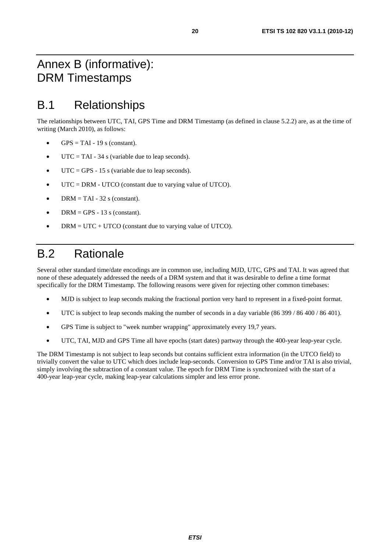# Annex B (informative): DRM Timestamps

# B.1 Relationships

The relationships between UTC, TAI, GPS Time and DRM Timestamp (as defined in clause 5.2.2) are, as at the time of writing (March 2010), as follows:

- $GPS = TAI 19$  s (constant).
- $UTC = TAI 34$  s (variable due to leap seconds).
- UTC = GPS 15 s (variable due to leap seconds).
- UTC = DRM UTCO (constant due to varying value of UTCO).
- DRM = TAI 32 s (constant).
- DRM = GPS 13 s (constant).
- $DRM = UTC + UTCO$  (constant due to varying value of UTCO).

# B.2 Rationale

Several other standard time/date encodings are in common use, including MJD, UTC, GPS and TAI. It was agreed that none of these adequately addressed the needs of a DRM system and that it was desirable to define a time format specifically for the DRM Timestamp. The following reasons were given for rejecting other common timebases:

- MJD is subject to leap seconds making the fractional portion very hard to represent in a fixed-point format.
- UTC is subject to leap seconds making the number of seconds in a day variable (86 399 / 86 400 / 86 401).
- GPS Time is subject to "week number wrapping" approximately every 19,7 years.
- UTC, TAI, MJD and GPS Time all have epochs (start dates) partway through the 400-year leap-year cycle.

The DRM Timestamp is not subject to leap seconds but contains sufficient extra information (in the UTCO field) to trivially convert the value to UTC which does include leap-seconds. Conversion to GPS Time and/or TAI is also trivial, simply involving the subtraction of a constant value. The epoch for DRM Time is synchronized with the start of a 400-year leap-year cycle, making leap-year calculations simpler and less error prone.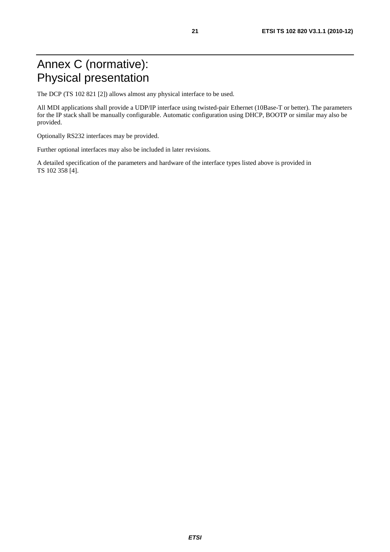# Annex C (normative): Physical presentation

The DCP (TS 102 821 [2]) allows almost any physical interface to be used.

All MDI applications shall provide a UDP/IP interface using twisted-pair Ethernet (10Base-T or better). The parameters for the IP stack shall be manually configurable. Automatic configuration using DHCP, BOOTP or similar may also be provided.

Optionally RS232 interfaces may be provided.

Further optional interfaces may also be included in later revisions.

A detailed specification of the parameters and hardware of the interface types listed above is provided in TS 102 358 [4].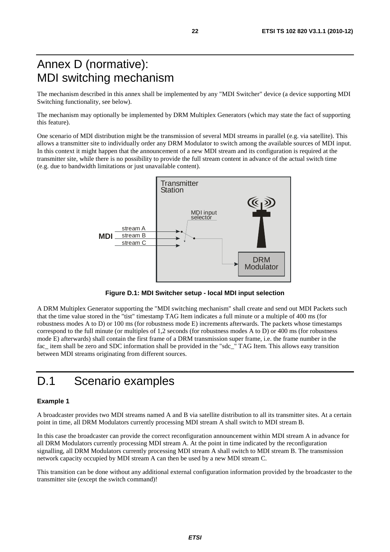# Annex D (normative): MDI switching mechanism

The mechanism described in this annex shall be implemented by any "MDI Switcher" device (a device supporting MDI Switching functionality, see below).

The mechanism may optionally be implemented by DRM Multiplex Generators (which may state the fact of supporting this feature).

One scenario of MDI distribution might be the transmission of several MDI streams in parallel (e.g. via satellite). This allows a transmitter site to individually order any DRM Modulator to switch among the available sources of MDI input. In this context it might happen that the announcement of a new MDI stream and its configuration is required at the transmitter site, while there is no possibility to provide the full stream content in advance of the actual switch time (e.g. due to bandwidth limitations or just unavailable content).



**Figure D.1: MDI Switcher setup - local MDI input selection** 

A DRM Multiplex Generator supporting the "MDI switching mechanism" shall create and send out MDI Packets such that the time value stored in the "tist" timestamp TAG Item indicates a full minute or a multiple of 400 ms (for robustness modes A to D) or 100 ms (for robustness mode E) increments afterwards. The packets whose timestamps correspond to the full minute (or multiples of 1,2 seconds (for robustness modes A to D) or 400 ms (for robustness mode E) afterwards) shall contain the first frame of a DRM transmission super frame, i.e. the frame number in the fac\_ item shall be zero and SDC information shall be provided in the "sdc\_" TAG Item. This allows easy transition between MDI streams originating from different sources.

# D.1 Scenario examples

#### **Example 1**

A broadcaster provides two MDI streams named A and B via satellite distribution to all its transmitter sites. At a certain point in time, all DRM Modulators currently processing MDI stream A shall switch to MDI stream B.

In this case the broadcaster can provide the correct reconfiguration announcement within MDI stream A in advance for all DRM Modulators currently processing MDI stream A. At the point in time indicated by the reconfiguration signalling, all DRM Modulators currently processing MDI stream A shall switch to MDI stream B. The transmission network capacity occupied by MDI stream A can then be used by a new MDI stream C.

This transition can be done without any additional external configuration information provided by the broadcaster to the transmitter site (except the switch command)!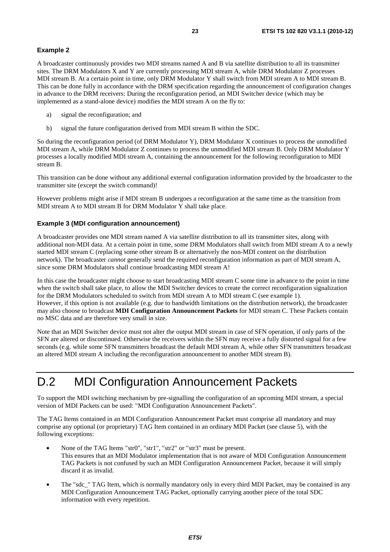#### **Example 2**

A broadcaster continuously provides two MDI streams named A and B via satellite distribution to all its transmitter sites. The DRM Modulators X and Y are currently processing MDI stream A, while DRM Modulator Z processes MDI stream B. At a certain point in time, only DRM Modulator Y shall switch from MDI stream A to MDI stream B. This can be done fully in accordance with the DRM specification regarding the announcement of configuration changes in advance to the DRM receivers: During the reconfiguration period, an MDI Switcher device (which may be implemented as a stand-alone device) modifies the MDI stream A on the fly to:

- a) signal the reconfiguration; and
- b) signal the future configuration derived from MDI stream B within the SDC.

So during the reconfiguration period (of DRM Modulator Y), DRM Modulator X continues to process the unmodified MDI stream A, while DRM Modulator Z continues to process the unmodified MDI stream B. Only DRM Modulator Y processes a locally modified MDI stream A, containing the announcement for the following reconfiguration to MDI stream B.

This transition can be done without any additional external configuration information provided by the broadcaster to the transmitter site (except the switch command)!

However problems might arise if MDI stream B undergoes a reconfiguration at the same time as the transition from MDI stream A to MDI stream B for DRM Modulator Y shall take place.

#### **Example 3 (MDI configuration announcement)**

A broadcaster provides one MDI stream named A via satellite distribution to all its transmitter sites, along with additional non-MDI data. At a certain point in time, some DRM Modulators shall switch from MDI stream A to a newly started MDI stream C (replacing some other stream B or alternatively the non-MDI content on the distribution network). The broadcaster *cannot* generally send the required reconfiguration information as part of MDI stream A, since some DRM Modulators shall continue broadcasting MDI stream A!

In this case the broadcaster might choose to start broadcasting MDI stream C some time in advance to the point in time when the switch shall take place, to allow the MDI Switcher devices to create the correct reconfiguration signalization for the DRM Modulators scheduled to switch from MDI stream A to MDI stream C (see example 1). However, if this option is not available (e.g. due to bandwidth limitations on the distribution network), the broadcaster may also choose to broadcast **MDI Configuration Announcement Packets** for MDI stream C. These Packets contain no MSC data and are therefore very small in size.

Note that an MDI Switcher device must not alter the output MDI stream in case of SFN operation, if only parts of the SFN are altered or discontinued. Otherwise the receivers within the SFN may receive a fully distorted signal for a few seconds (e.g. while some SFN transmitters broadcast the default MDI stream A, while other SFN transmitters broadcast an altered MDI stream A including the reconfiguration announcement to another MDI stream B).

# D.2 MDI Configuration Announcement Packets

To support the MDI switching mechanism by pre-signalling the configuration of an upcoming MDI stream, a special version of MDI Packets can be used: "MDI Configuration Announcement Packets".

The TAG Items contained in an MDI Configuration Announcement Packet must comprise all mandatory and may comprise any optional (or proprietary) TAG Item contained in an ordinary MDI Packet (see clause 5), with the following exceptions:

- None of the TAG Items "str0", "str1", "str2" or "str3" must be present. This ensures that an MDI Modulator implementation that is not aware of MDI Configuration Announcement TAG Packets is not confused by such an MDI Configuration Announcement Packet, because it will simply discard it as invalid.
- The "sdc\_" TAG Item, which is normally mandatory only in every third MDI Packet, may be contained in any MDI Configuration Announcement TAG Packet, optionally carrying another piece of the total SDC information with every repetition.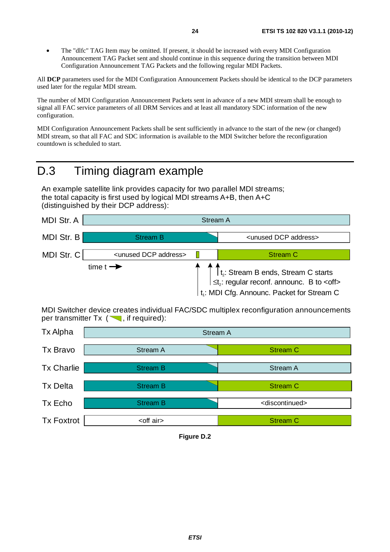The "dlfc" TAG Item may be omitted. If present, it should be increased with every MDI Configuration Announcement TAG Packet sent and should continue in this sequence during the transition between MDI Configuration Announcement TAG Packets and the following regular MDI Packets.

All **DCP** parameters used for the MDI Configuration Announcement Packets should be identical to the DCP parameters used later for the regular MDI stream.

The number of MDI Configuration Announcement Packets sent in advance of a new MDI stream shall be enough to signal all FAC service parameters of all DRM Services and at least all mandatory SDC information of the new configuration.

MDI Configuration Announcement Packets shall be sent sufficiently in advance to the start of the new (or changed) MDI stream, so that all FAC and SDC information is available to the MDI Switcher before the reconfiguration countdown is scheduled to start.

# D.3 Timing diagram example

An example satellite link provides capacity for two parallel MDI streams; the total capacity is first used by logical MDI streams A+B, then A+C (distinguished by their DCP address):

| MDI Str. A | <b>Stream A</b>                     |  |                                                                                                                                                                                      |  |  |  |  |
|------------|-------------------------------------|--|--------------------------------------------------------------------------------------------------------------------------------------------------------------------------------------|--|--|--|--|
| MDI Str. B | <b>Stream B</b>                     |  | <unused address="" dcp=""></unused>                                                                                                                                                  |  |  |  |  |
| MDI Str. C | <unused address="" dcp=""></unused> |  | <b>Stream C</b>                                                                                                                                                                      |  |  |  |  |
|            | time $t \rightarrow$                |  | $\int_{\frac{1}{2}}^{n} t_{2}$ : Stream B ends, Stream C starts<br>$\leq t_{2}$ : regular reconf. announc. B to <off><br/>t<sub>i</sub>: MDI Cfg. Announc. Packet for Stream C</off> |  |  |  |  |

MDI Switcher device creates individual FAC/SDC multiplex reconfiguration announcements per transmitter  $Tx \, (\nabla, \text{if required})$ :



**Figure D.2**